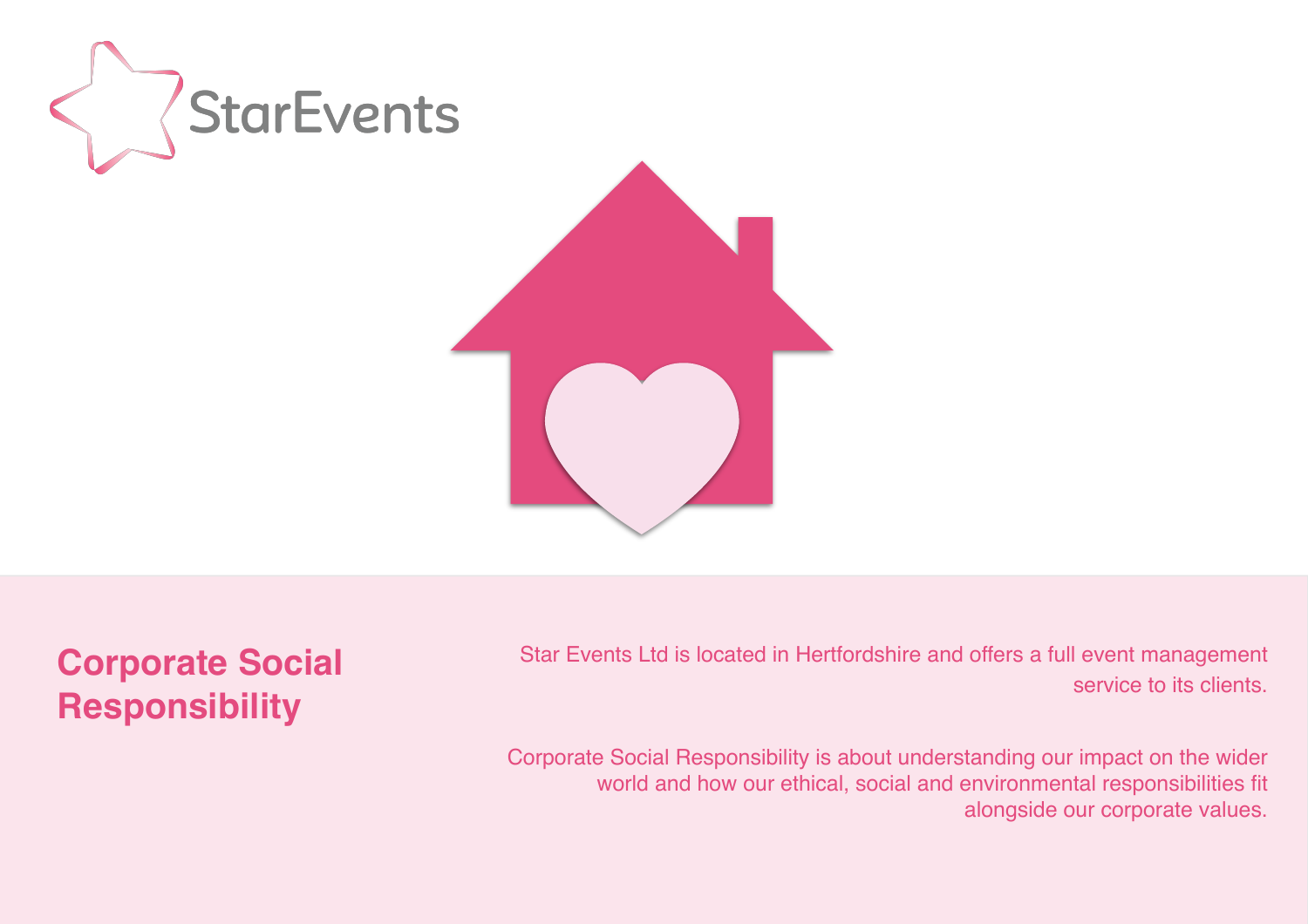

**Corporate Social Responsibility** 

 Star Events Ltd is located in Hertfordshire and offers a full event management service to its clients.

Corporate Social Responsibility is about understanding our impact on the wider world and how our ethical, social and environmental responsibilities fit alongside our corporate values.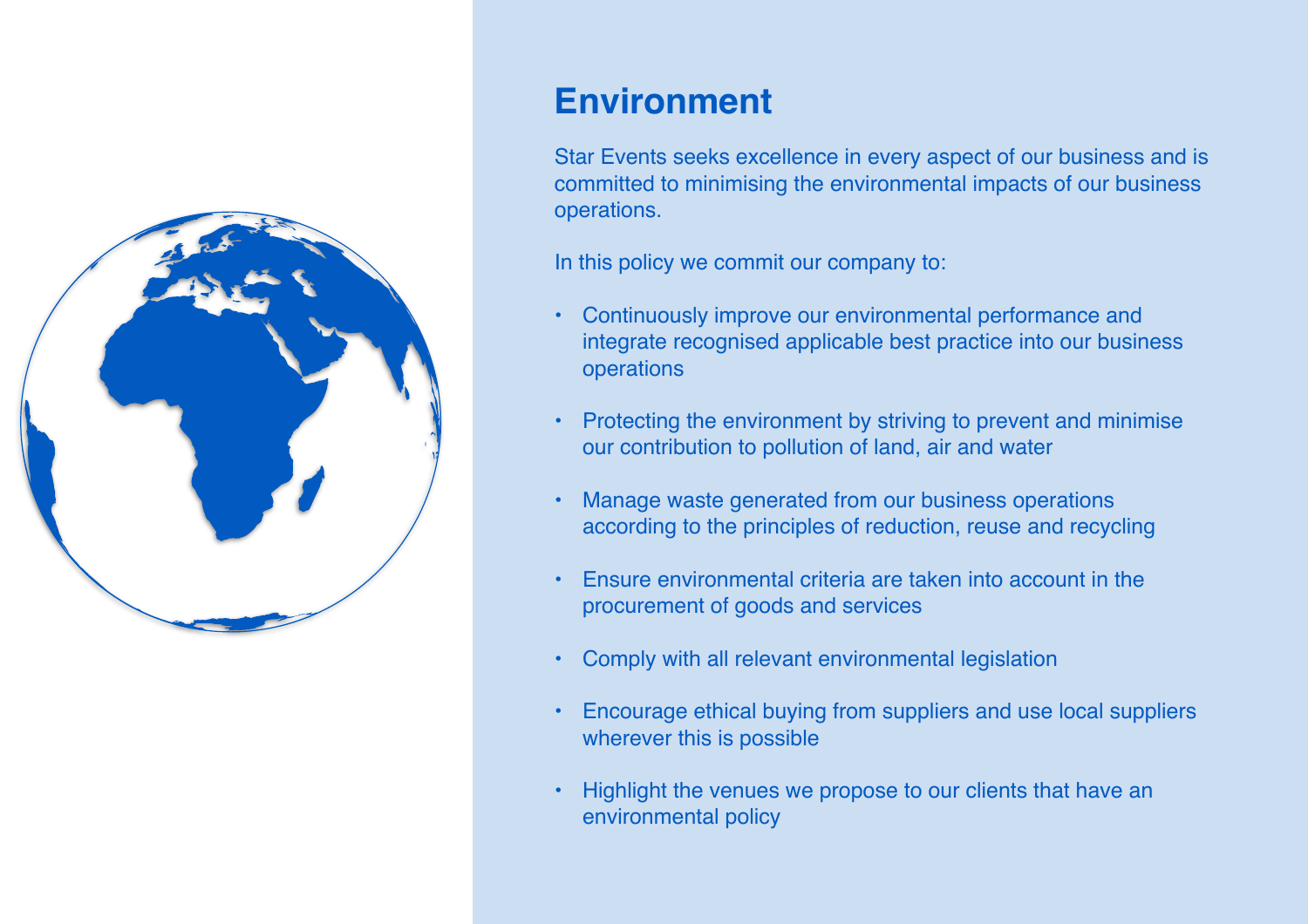

## **Environment**

Star Events seeks excellence in every aspect of our business and is committed to minimising the environmental impacts of our business operations.

In this policy we commit our company to:

- Continuously improve our environmental performance and integrate recognised applicable best practice into our business operations
- Protecting the environment by striving to prevent and minimise our contribution to pollution of land, air and water
- Manage waste generated from our business operations according to the principles of reduction, reuse and recycling
- Ensure environmental criteria are taken into account in the procurement of goods and services
- Comply with all relevant environmental legislation
- Encourage ethical buying from suppliers and use local suppliers wherever this is possible
- Highlight the venues we propose to our clients that have an environmental policy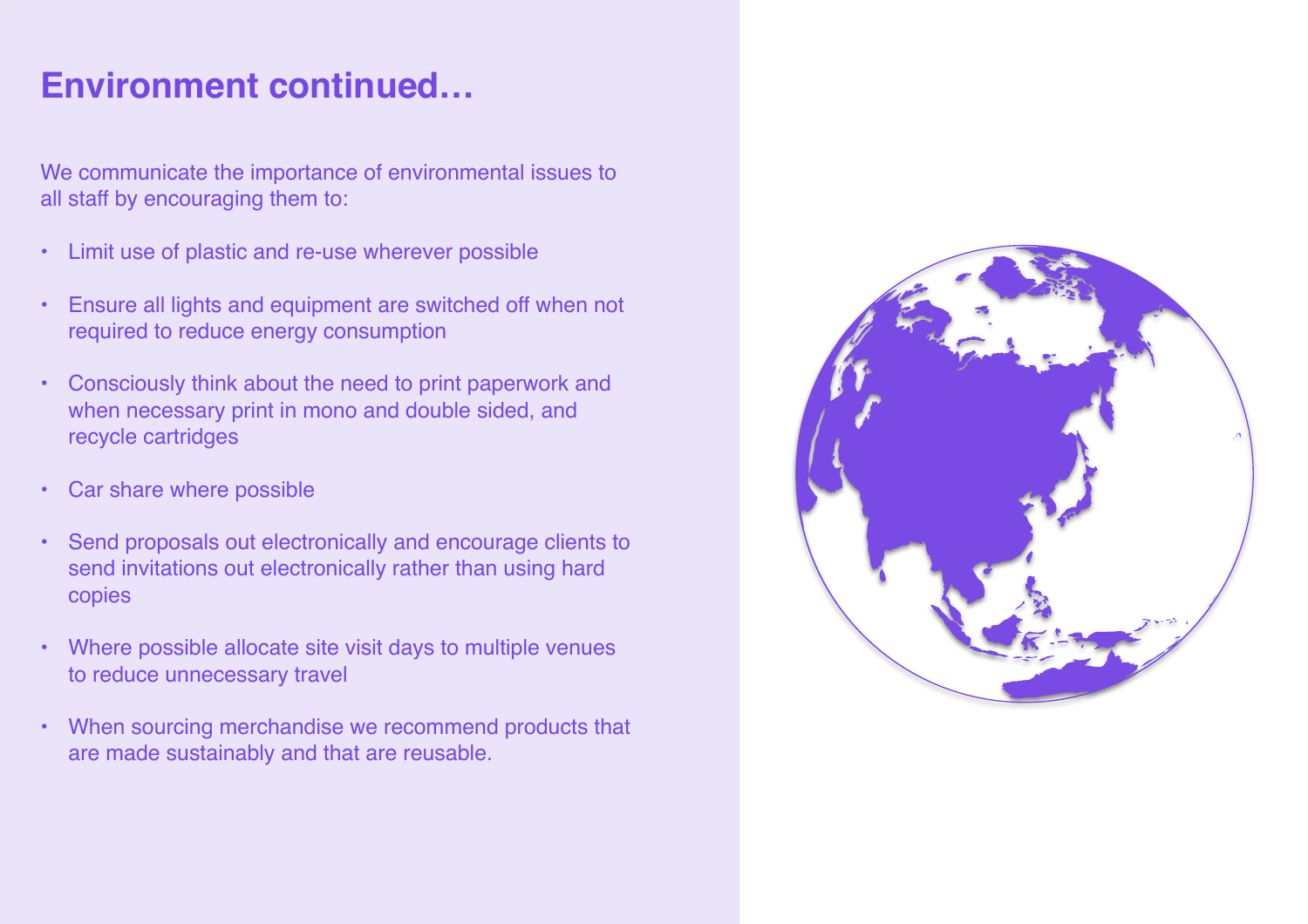## **Environment continued…**

We communicate the importance of environmental issues to all staff by encouraging them to:

- Limit use of plastic and re-use wherever possible
- Ensure all lights and equipment are switched off when not required to reduce energy consumption
- Consciously think about the need to print paperwork and when necessary print in mono and double sided, and recycle cartridges
- Car share where possible
- Send proposals out electronically and encourage clients to send invitations out electronically rather than using hard copies
- Where possible allocate site visit days to multiple venues to reduce unnecessary travel
- When sourcing merchandise we recommend products that are made sustainably and that are reusable.

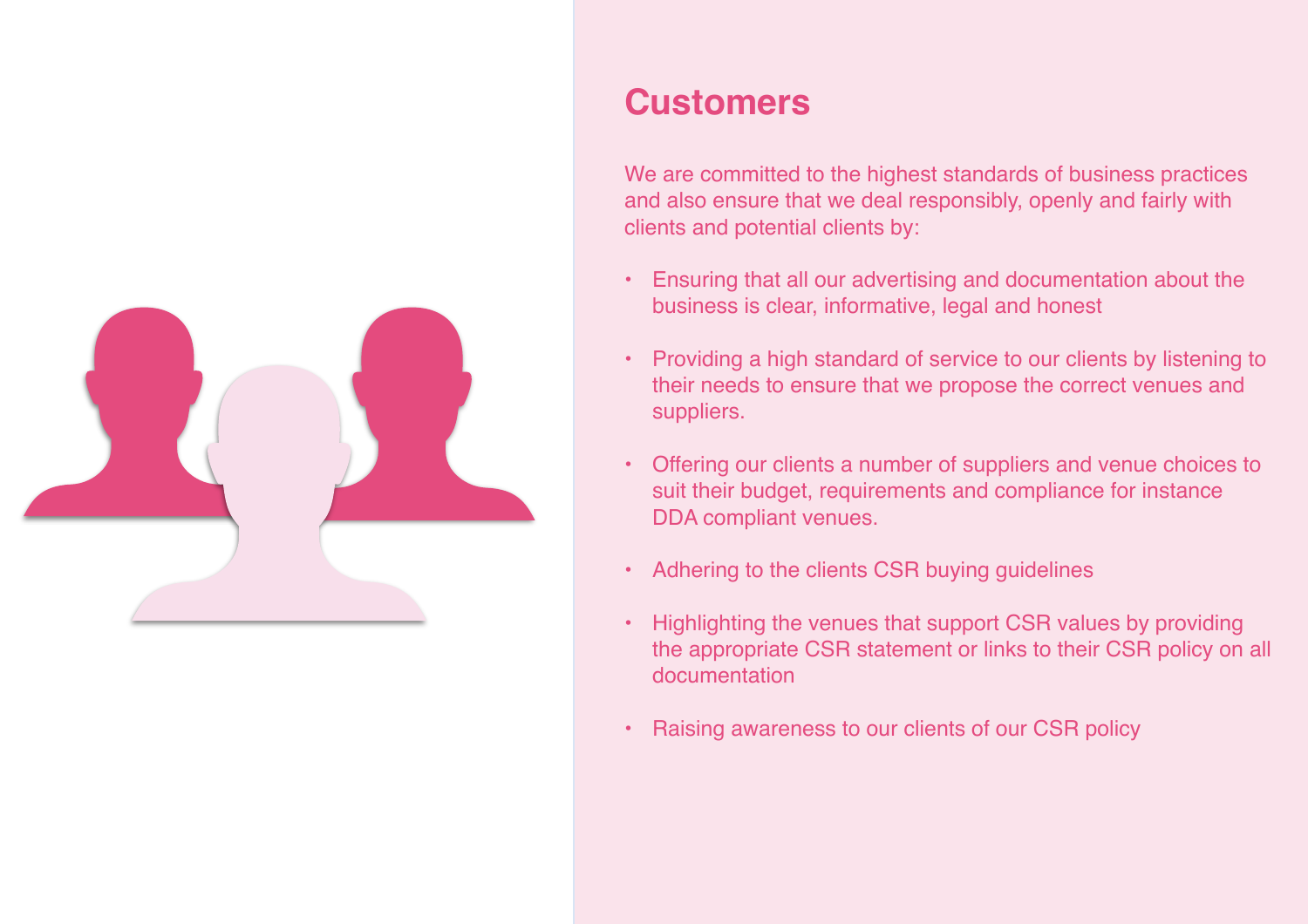

### **Customers**

We are committed to the highest standards of business practices and also ensure that we deal responsibly, openly and fairly with clients and potential clients by:

- Ensuring that all our advertising and documentation about the business is clear, informative, legal and honest
- Providing a high standard of service to our clients by listening to their needs to ensure that we propose the correct venues and suppliers.
- Offering our clients a number of suppliers and venue choices to suit their budget, requirements and compliance for instance DDA compliant venues.
- Adhering to the clients CSR buying guidelines
- Highlighting the venues that support CSR values by providing the appropriate CSR statement or links to their CSR policy on all documentation
- Raising awareness to our clients of our CSR policy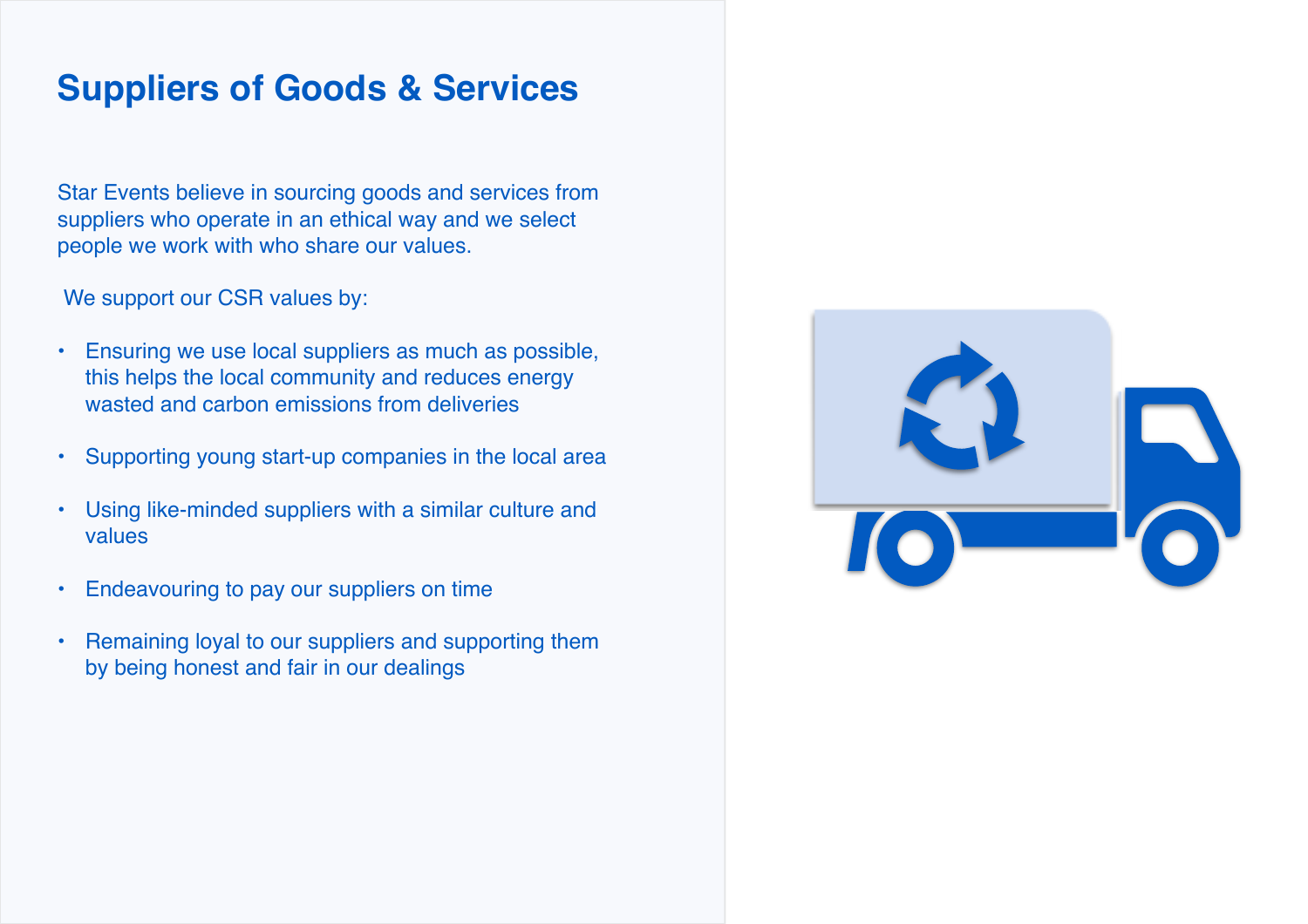## **Suppliers of Goods & Services**

Star Events believe in sourcing goods and services from suppliers who operate in an ethical way and we select people we work with who share our values.

We support our CSR values by:

- Ensuring we use local suppliers as much as possible, this helps the local community and reduces energy wasted and carbon emissions from deliveries
- Supporting young start-up companies in the local area
- Using like-minded suppliers with a similar culture and values
- Endeavouring to pay our suppliers on time
- Remaining loyal to our suppliers and supporting them by being honest and fair in our dealings

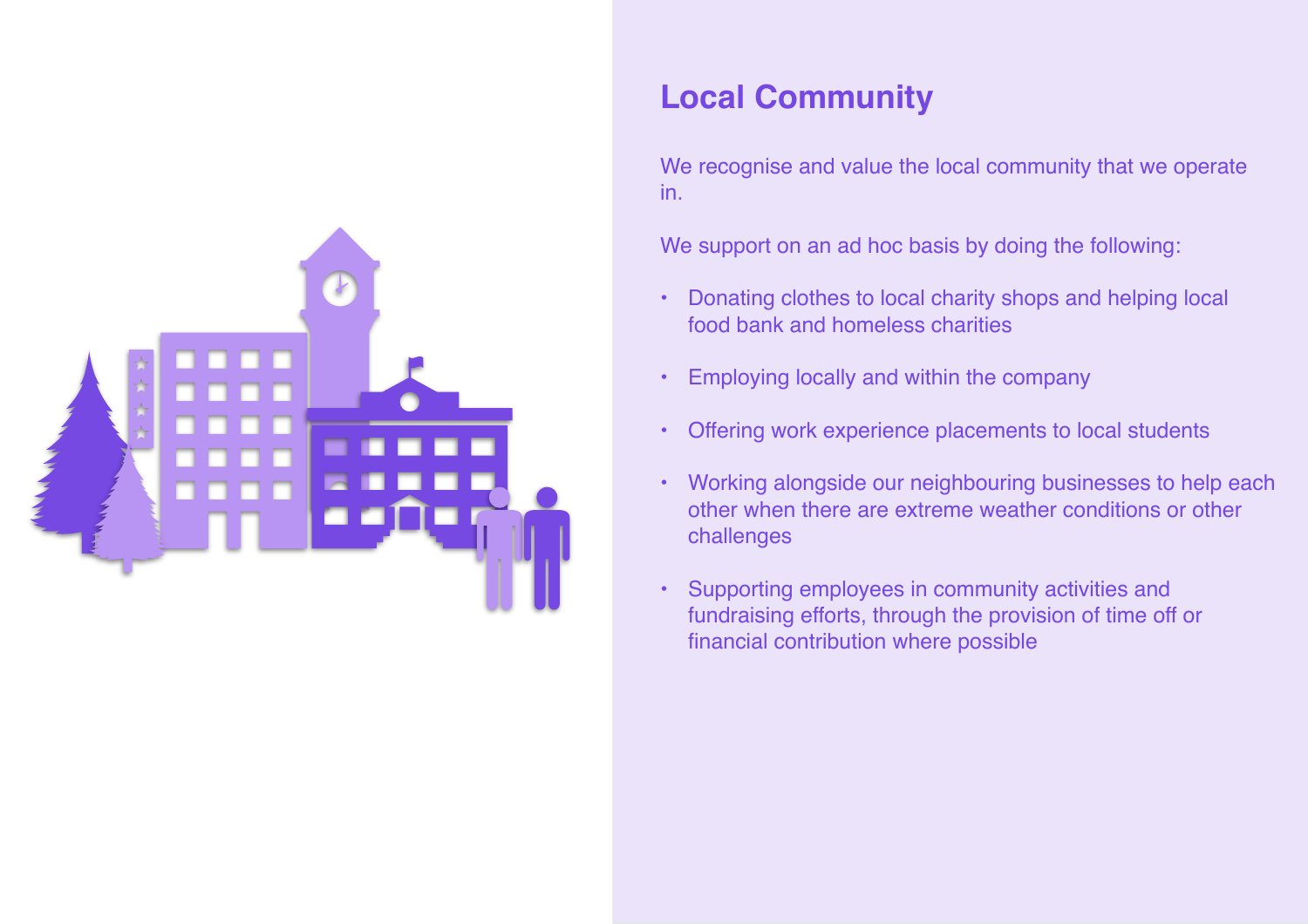

#### **Local Community**

We recognise and value the local community that we operate in.

We support on an ad hoc basis by doing the following:

- Donating clothes to local charity shops and helping local food bank and homeless charities
- Employing locally and within the company
- Offering work experience placements to local students
- Working alongside our neighbouring businesses to help each other when there are extreme weather conditions or other challenges
- Supporting employees in community activities and fundraising efforts, through the provision of time off or financial contribution where possible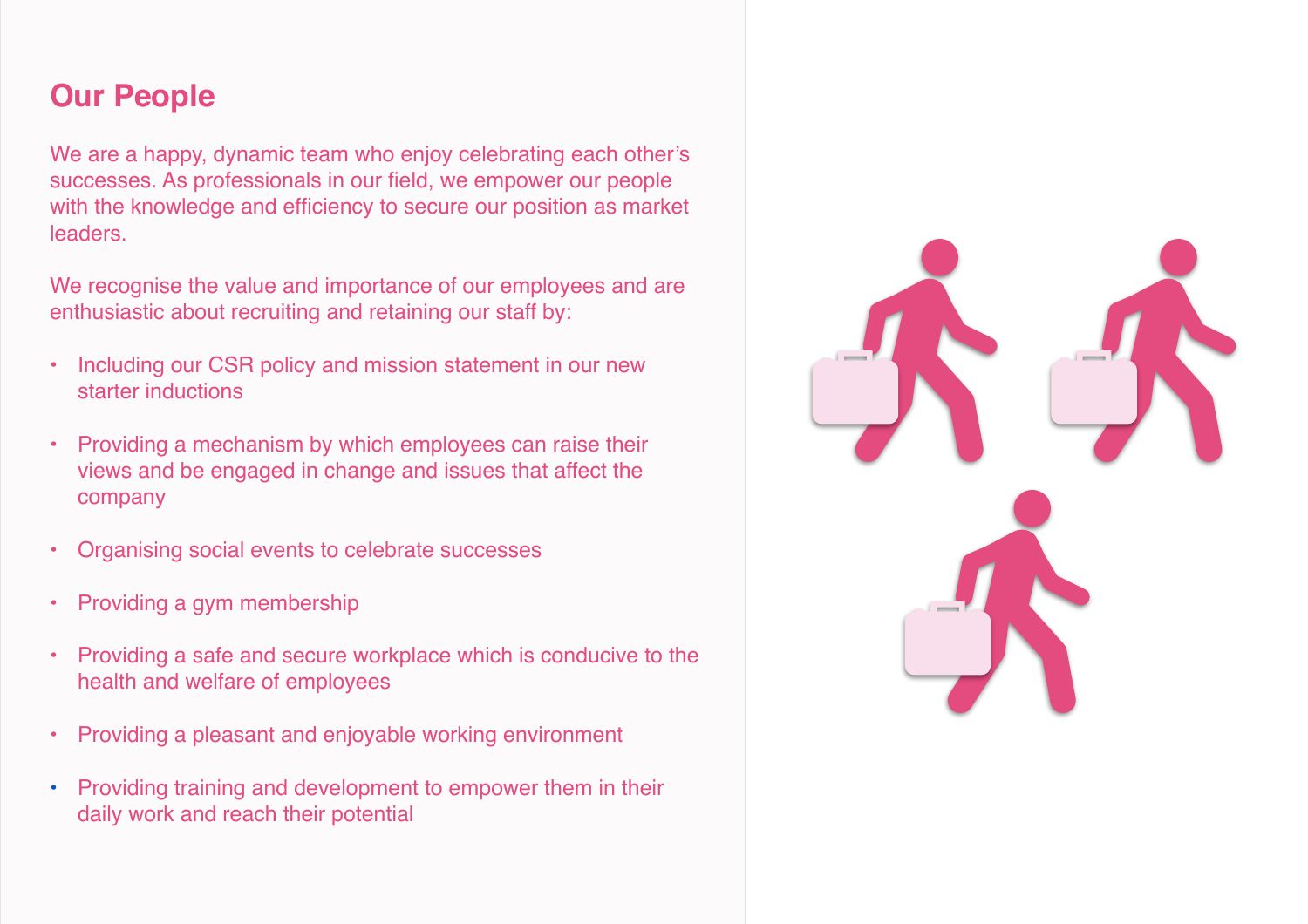#### **Our People**

We are a happy, dynamic team who enjoy celebrating each other's successes. As professionals in our field, we empower our people with the knowledge and efficiency to secure our position as market leaders.

We recognise the value and importance of our employees and are enthusiastic about recruiting and retaining our staff by:

- Including our CSR policy and mission statement in our new starter inductions
- Providing a mechanism by which employees can raise their views and be engaged in change and issues that affect the company
- Organising social events to celebrate successes
- Providing a gym membership
- Providing a safe and secure workplace which is conducive to the health and welfare of employees
- Providing a pleasant and enjoyable working environment
- Providing training and development to empower them in their daily work and reach their potential